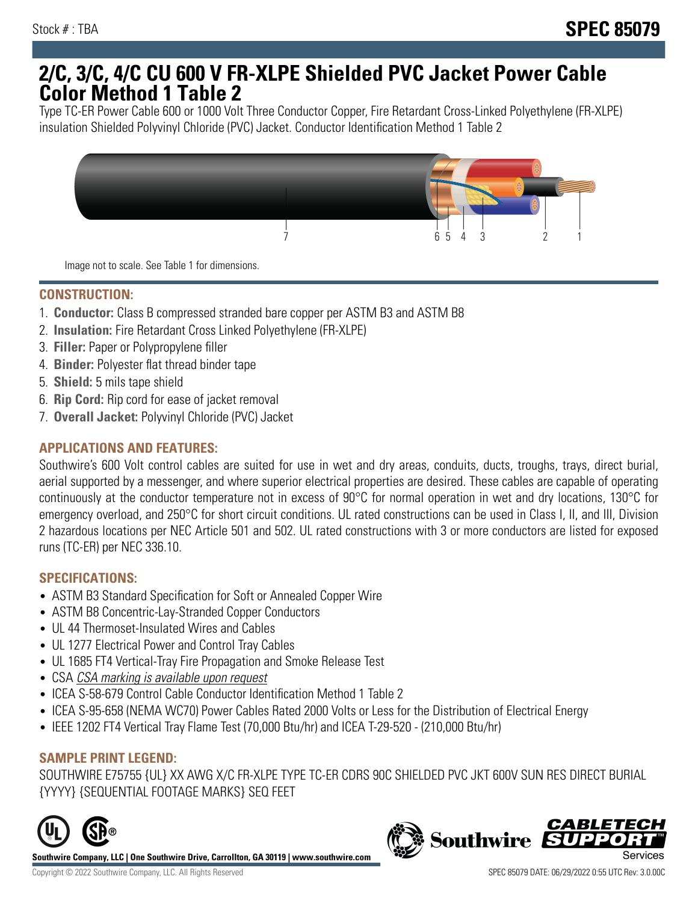# **2/C, 3/C, 4/C CU 600 V FR-XLPE Shielded PVC Jacket Power Cable Color Method 1 Table 2**

Type TC-ER Power Cable 600 or 1000 Volt Three Conductor Copper, Fire Retardant Cross-Linked Polyethylene (FR-XLPE) insulation Shielded Polyvinyl Chloride (PVC) Jacket. Conductor Identification Method 1 Table 2



Image not to scale. See Table 1 for dimensions.

## **CONSTRUCTION:**

- 1. **Conductor:** Class B compressed stranded bare copper per ASTM B3 and ASTM B8
- 2. **Insulation:** Fire Retardant Cross Linked Polyethylene (FR-XLPE)
- 3. **Filler:** Paper or Polypropylene filler
- 4. **Binder:** Polyester flat thread binder tape
- 5. **Shield:** 5 mils tape shield
- 6. **Rip Cord:** Rip cord for ease of jacket removal
- 7. **Overall Jacket:** Polyvinyl Chloride (PVC) Jacket

### **APPLICATIONS AND FEATURES:**

Southwire's 600 Volt control cables are suited for use in wet and dry areas, conduits, ducts, troughs, trays, direct burial, aerial supported by a messenger, and where superior electrical properties are desired. These cables are capable of operating continuously at the conductor temperature not in excess of 90°C for normal operation in wet and dry locations, 130°C for emergency overload, and 250°C for short circuit conditions. UL rated constructions can be used in Class I, II, and III, Division 2 hazardous locations per NEC Article 501 and 502. UL rated constructions with 3 or more conductors are listed for exposed runs (TC-ER) per NEC 336.10.

#### **SPECIFICATIONS:**

- ASTM B3 Standard Specification for Soft or Annealed Copper Wire
- ASTM B8 Concentric-Lay-Stranded Copper Conductors
- UL 44 Thermoset-Insulated Wires and Cables
- UL 1277 Electrical Power and Control Tray Cables
- UL 1685 FT4 Vertical-Tray Fire Propagation and Smoke Release Test
- CSA CSA marking is available upon request
- ICEA S-58-679 Control Cable Conductor Identification Method 1 Table 2
- ICEA S-95-658 (NEMA WC70) Power Cables Rated 2000 Volts or Less for the Distribution of Electrical Energy
- IEEE 1202 FT4 Vertical Tray Flame Test (70,000 Btu/hr) and ICEA T-29-520 (210,000 Btu/hr)

#### **SAMPLE PRINT LEGEND:**

SOUTHWIRE E75755 {UL} XX AWG X/C FR-XLPE TYPE TC-ER CDRS 90C SHIELDED PVC JKT 600V SUN RES DIRECT BURIAL {YYYY} {SEQUENTIAL FOOTAGE MARKS} SEQ FEET



**Southwire Company, LLC | One Southwire Drive, Carrollton, GA 30119 | www.southwire.com**